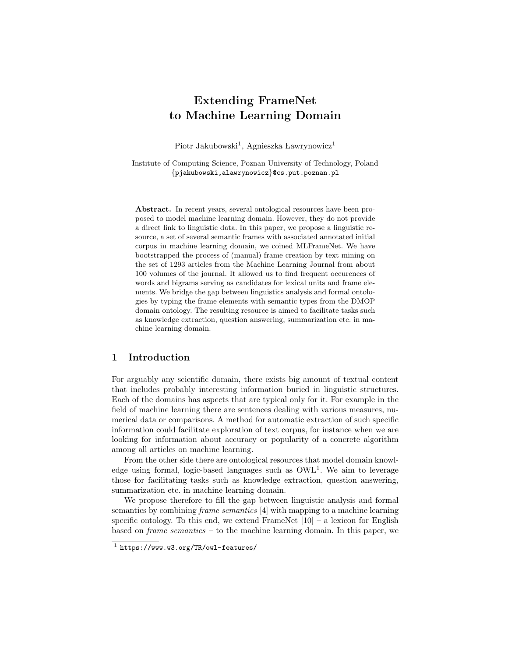# Extending FrameNet to Machine Learning Domain

Piotr Jakubowski<sup>1</sup>, Agnieszka Lawrynowicz<sup>1</sup>

Institute of Computing Science, Poznan University of Technology, Poland {pjakubowski,alawrynowicz}@cs.put.poznan.pl

Abstract. In recent years, several ontological resources have been proposed to model machine learning domain. However, they do not provide a direct link to linguistic data. In this paper, we propose a linguistic resource, a set of several semantic frames with associated annotated initial corpus in machine learning domain, we coined MLFrameNet. We have bootstrapped the process of (manual) frame creation by text mining on the set of 1293 articles from the Machine Learning Journal from about 100 volumes of the journal. It allowed us to find frequent occurences of words and bigrams serving as candidates for lexical units and frame elements. We bridge the gap between linguistics analysis and formal ontologies by typing the frame elements with semantic types from the DMOP domain ontology. The resulting resource is aimed to facilitate tasks such as knowledge extraction, question answering, summarization etc. in machine learning domain.

# 1 Introduction

For arguably any scientific domain, there exists big amount of textual content that includes probably interesting information buried in linguistic structures. Each of the domains has aspects that are typical only for it. For example in the field of machine learning there are sentences dealing with various measures, numerical data or comparisons. A method for automatic extraction of such specific information could facilitate exploration of text corpus, for instance when we are looking for information about accuracy or popularity of a concrete algorithm among all articles on machine learning.

From the other side there are ontological resources that model domain knowledge using formal, logic-based languages such as  $\text{OWL}^1$ . We aim to leverage those for facilitating tasks such as knowledge extraction, question answering, summarization etc. in machine learning domain.

We propose therefore to fill the gap between linguistic analysis and formal semantics by combining frame semantics [4] with mapping to a machine learning specific ontology. To this end, we extend FrameNet  $[10]$  – a lexicon for English based on frame semantics – to the machine learning domain. In this paper, we

<sup>1</sup> https://www.w3.org/TR/owl-features/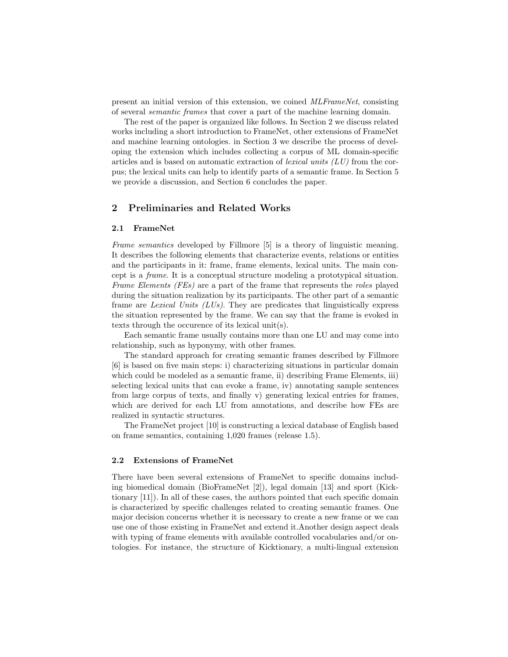present an initial version of this extension, we coined MLFrameNet, consisting of several semantic frames that cover a part of the machine learning domain.

The rest of the paper is organized like follows. In Section 2 we discuss related works including a short introduction to FrameNet, other extensions of FrameNet and machine learning ontologies. in Section 3 we describe the process of developing the extension which includes collecting a corpus of ML domain-specific articles and is based on automatic extraction of *lexical units*  $(LU)$  from the corpus; the lexical units can help to identify parts of a semantic frame. In Section 5 we provide a discussion, and Section 6 concludes the paper.

# 2 Preliminaries and Related Works

#### 2.1 FrameNet

Frame semantics developed by Fillmore [5] is a theory of linguistic meaning. It describes the following elements that characterize events, relations or entities and the participants in it: frame, frame elements, lexical units. The main concept is a frame. It is a conceptual structure modeling a prototypical situation. Frame Elements (FEs) are a part of the frame that represents the roles played during the situation realization by its participants. The other part of a semantic frame are Lexical Units (LUs). They are predicates that linguistically express the situation represented by the frame. We can say that the frame is evoked in texts through the occurence of its lexical unit(s).

Each semantic frame usually contains more than one LU and may come into relationship, such as hyponymy, with other frames.

The standard approach for creating semantic frames described by Fillmore [6] is based on five main steps: i) characterizing situations in particular domain which could be modeled as a semantic frame, ii) describing Frame Elements, iii) selecting lexical units that can evoke a frame, iv) annotating sample sentences from large corpus of texts, and finally v) generating lexical entries for frames, which are derived for each LU from annotations, and describe how FEs are realized in syntactic structures.

The FrameNet project [10] is constructing a lexical database of English based on frame semantics, containing 1,020 frames (release 1.5).

## 2.2 Extensions of FrameNet

There have been several extensions of FrameNet to specific domains including biomedical domain (BioFrameNet [2]), legal domain [13] and sport (Kicktionary [11]). In all of these cases, the authors pointed that each specific domain is characterized by specific challenges related to creating semantic frames. One major decision concerns whether it is necessary to create a new frame or we can use one of those existing in FrameNet and extend it.Another design aspect deals with typing of frame elements with available controlled vocabularies and/or ontologies. For instance, the structure of Kicktionary, a multi-lingual extension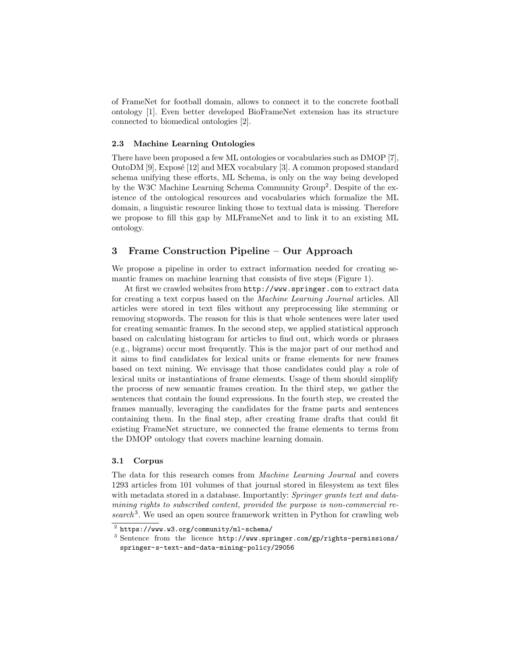of FrameNet for football domain, allows to connect it to the concrete football ontology [1]. Even better developed BioFrameNet extension has its structure connected to biomedical ontologies [2].

#### 2.3 Machine Learning Ontologies

There have been proposed a few ML ontologies or vocabularies such as DMOP [7], OntoDM  $[9]$ , Exposé  $[12]$  and MEX vocabulary  $[3]$ . A common proposed standard schema unifying these efforts, ML Schema, is only on the way being developed by the W3C Machine Learning Schema Community Group<sup>2</sup>. Despite of the existence of the ontological resources and vocabularies which formalize the ML domain, a linguistic resource linking those to textual data is missing. Therefore we propose to fill this gap by MLFrameNet and to link it to an existing ML ontology.

# 3 Frame Construction Pipeline – Our Approach

We propose a pipeline in order to extract information needed for creating semantic frames on machine learning that consists of five steps (Figure 1).

At first we crawled websites from http://www.springer.com to extract data for creating a text corpus based on the Machine Learning Journal articles. All articles were stored in text files without any preprocessing like stemming or removing stopwords. The reason for this is that whole sentences were later used for creating semantic frames. In the second step, we applied statistical approach based on calculating histogram for articles to find out, which words or phrases (e.g., bigrams) occur most frequently. This is the major part of our method and it aims to find candidates for lexical units or frame elements for new frames based on text mining. We envisage that those candidates could play a role of lexical units or instantiations of frame elements. Usage of them should simplify the process of new semantic frames creation. In the third step, we gather the sentences that contain the found expressions. In the fourth step, we created the frames manually, leveraging the candidates for the frame parts and sentences containing them. In the final step, after creating frame drafts that could fit existing FrameNet structure, we connected the frame elements to terms from the DMOP ontology that covers machine learning domain.

## 3.1 Corpus

The data for this research comes from Machine Learning Journal and covers 1293 articles from 101 volumes of that journal stored in filesystem as text files with metadata stored in a database. Importantly: Springer grants text and datamining rights to subscribed content, provided the purpose is non-commercial re $search<sup>3</sup>$ . We used an open source framework written in Python for crawling web

 $^2$  https://www.w3.org/community/ml-schema/

<sup>3</sup> Sentence from the licence http://www.springer.com/gp/rights-permissions/ springer-s-text-and-data-mining-policy/29056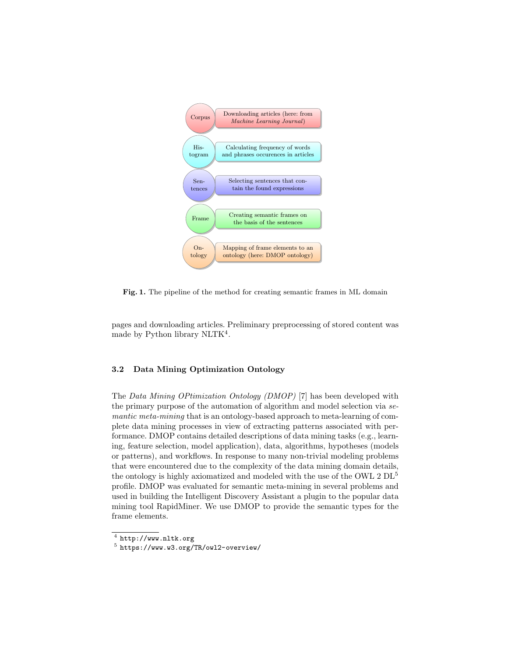

Fig. 1. The pipeline of the method for creating semantic frames in ML domain Fig. 1. The pipeline of the method for creating semantic frames in ML domain

pages and downloading articles. Preliminary preprocessing of stored content was made by Python library NLTK<sup>4</sup>.

### 3.2 Data Mining Optimization Ontology

The Data Mining OPtimization Ontology (DMOP) [7] has been developed with the primary purpose of the automation of algorithm and model selection via semantic meta-mining that is an ontology-based approach to meta-learning of complete data mining processes in view of extracting patterns associated with performance. DMOP contains detailed descriptions of data mining tasks (e.g., learning, feature selection, model application), data, algorithms, hypotheses (models or patterns), and workflows. In response to many non-trivial modeling problems that were encountered due to the complexity of the data mining domain details, the ontology is highly axiomatized and modeled with the use of the OWL  $2 \text{ DL}^5$ profile. DMOP was evaluated for semantic meta-mining in several problems and used in building the Intelligent Discovery Assistant a plugin to the popular data mining tool RapidMiner. We use DMOP to provide the semantic types for the frame elements.

 $<sup>4</sup>$  http://www.nltk.org</sup>

<sup>5</sup> https://www.w3.org/TR/owl2-overview/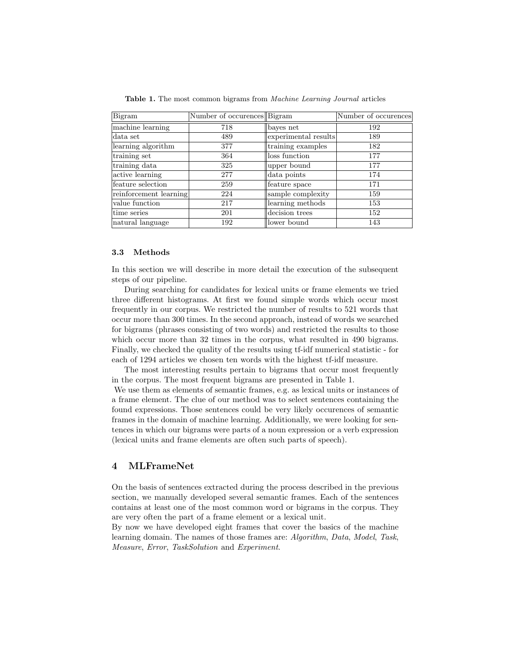| Bigram                 | Number of occurences Bigram |                      | Number of occurences |
|------------------------|-----------------------------|----------------------|----------------------|
| machine learning       | 718                         | bayes net            | 192                  |
| data set               | 489                         | experimental results | 189                  |
| learning algorithm     | 377                         | training examples    | 182                  |
| training set           | 364                         | loss function        | 177                  |
| training data          | 325                         | upper bound          | 177                  |
| active learning        | 277                         | data points          | 174                  |
| feature selection      | 259                         | feature space        | 171                  |
| reinforcement learning | 224                         | sample complexity    | 159                  |
| value function         | 217                         | learning methods     | 153                  |
| time series            | 201                         | decision trees       | 152                  |
| natural language       | 192                         | lower bound          | 143                  |

Table 1. The most common bigrams from Machine Learning Journal articles

#### 3.3 Methods

In this section we will describe in more detail the execution of the subsequent steps of our pipeline.

During searching for candidates for lexical units or frame elements we tried three different histograms. At first we found simple words which occur most frequently in our corpus. We restricted the number of results to 521 words that occur more than 300 times. In the second approach, instead of words we searched for bigrams (phrases consisting of two words) and restricted the results to those which occur more than 32 times in the corpus, what resulted in 490 bigrams. Finally, we checked the quality of the results using tf-idf numerical statistic - for each of 1294 articles we chosen ten words with the highest tf-idf measure.

The most interesting results pertain to bigrams that occur most frequently in the corpus. The most frequent bigrams are presented in Table 1.

We use them as elements of semantic frames, e.g. as lexical units or instances of a frame element. The clue of our method was to select sentences containing the found expressions. Those sentences could be very likely occurences of semantic frames in the domain of machine learning. Additionally, we were looking for sentences in which our bigrams were parts of a noun expression or a verb expression (lexical units and frame elements are often such parts of speech).

# 4 MLFrameNet

On the basis of sentences extracted during the process described in the previous section, we manually developed several semantic frames. Each of the sentences contains at least one of the most common word or bigrams in the corpus. They are very often the part of a frame element or a lexical unit.

By now we have developed eight frames that cover the basics of the machine learning domain. The names of those frames are: Algorithm, Data, Model, Task, Measure, Error, TaskSolution and Experiment.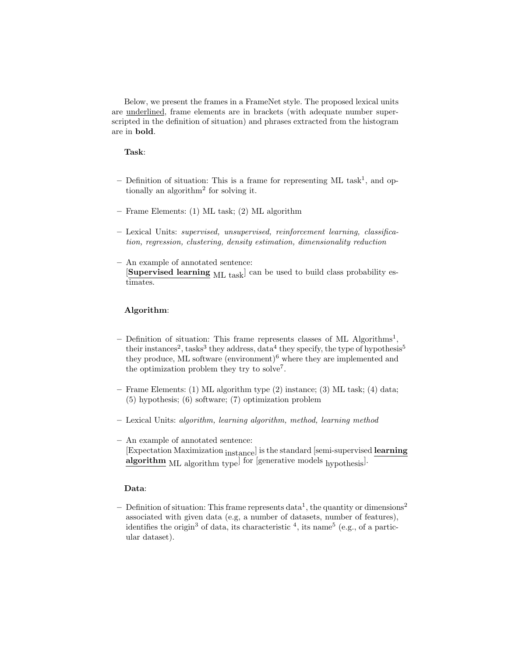Below, we present the frames in a FrameNet style. The proposed lexical units are underlined, frame elements are in brackets (with adequate number superscripted in the definition of situation) and phrases extracted from the histogram are in bold.

## Task:

- $-$  Definition of situation: This is a frame for representing ML task<sup>1</sup>, and optionally an algorithm<sup>2</sup> for solving it.
- Frame Elements: (1) ML task; (2) ML algorithm
- Lexical Units: supervised, unsupervised, reinforcement learning, classification, regression, clustering, density estimation, dimensionality reduction
- An example of annotated sentence: [Supervised learning ML task] can be used to build class probability estimates.

# Algorithm:

- Definition of situation: This frame represents classes of ML Algorithms<sup>1</sup>, their instances<sup>2</sup>, tasks<sup>3</sup> they address, data<sup>4</sup> they specify, the type of hypothesis<sup>5</sup> they produce, ML software (environment)<sup>6</sup> where they are implemented and the optimization problem they try to solve<sup>7</sup>.
- Frame Elements: (1) ML algorithm type (2) instance; (3) ML task; (4) data; (5) hypothesis; (6) software; (7) optimization problem
- Lexical Units: algorithm, learning algorithm, method, learning method
- An example of annotated sentence: [Expectation Maximization instance] is the standard [semi-supervised learning algorithm ML algorithm type<sup>]</sup> for [generative models hypothesis<sup>]</sup>.

## Data:

- Definition of situation: This frame represents  $data^1$ , the quantity or dimensions<sup>2</sup> associated with given data (e.g, a number of datasets, number of features), identifies the origin<sup>3</sup> of data, its characteristic  $4$ , its name<sup>5</sup> (e.g., of a particular dataset).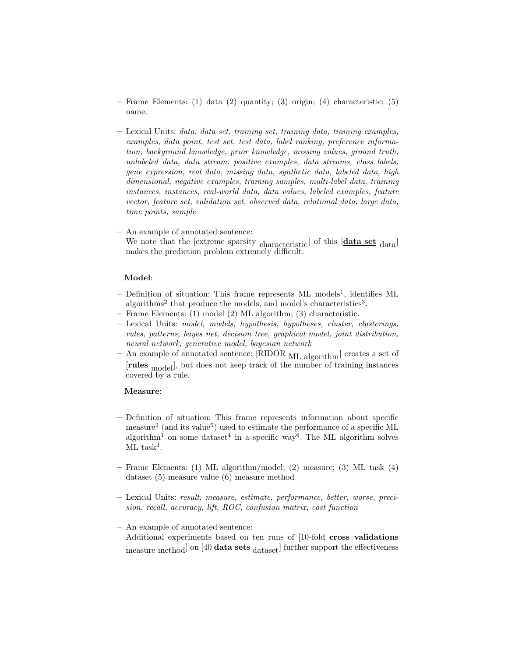- Frame Elements: (1) data (2) quantity; (3) origin; (4) characteristic; (5) name.
- $-$  Lexical Units: *data*, *data set, training set, training data, training examples,* examples, data point, test set, test data, label ranking, preference information, background knowledge, prior knowledge, missing values, ground truth, unlabeled data, data stream, positive examples, data streams, class labels, gene expression, real data, missing data, synthetic data, labeled data, high dimensional, negative examples, training samples, multi-label data, training instances, instances, real-world data, data values, labeled examples, feature vector, feature set, validation set, observed data, relational data, large data, time points, sample
- An example of annotated sentence: We note that the [extreme sparsity characteristic] of this  $[data set_{data}]$ makes the prediction problem extremely difficult.

#### Model:

- Definition of situation: This frame represents ML models<sup>1</sup>, identifies ML algorithms<sup>2</sup> that produce the models, and model's characteristics<sup>3</sup>.
- Frame Elements: (1) model (2) ML algorithm; (3) characteristic.
- Lexical Units: model, models, hypothesis, hypotheses, cluster, clusterings, rules, patterns, bayes net, decision tree, graphical model, joint distribution, neural network, generative model, bayesian network
- An example of annotated sentence: [RIDOR <sub>ML algorithm</sub>] creates a set of [rules model], but does not keep track of the number of training instances covered by a rule.

#### Measure:

- Definition of situation: This frame represents information about specific measure<sup>2</sup> (and its value<sup>5</sup>) used to estimate the performance of a specific ML algorithm<sup>1</sup> on some dataset<sup>4</sup> in a specific way<sup>6</sup>. The ML algorithm solves  $ML$  task<sup>3</sup>.
- Frame Elements: (1) ML algorithm/model; (2) measure; (3) ML task (4) dataset (5) measure value (6) measure method
- Lexical Units: result, measure, estimate, performance, better, worse, precision, recall, accuracy, lift, ROC, confusion matrix, cost function
- An example of annotated sentence:
	- Additional experiments based on ten runs of [10-fold cross validations measure method on [40 data sets  $_{\text{dataset}}$ ] further support the effectiveness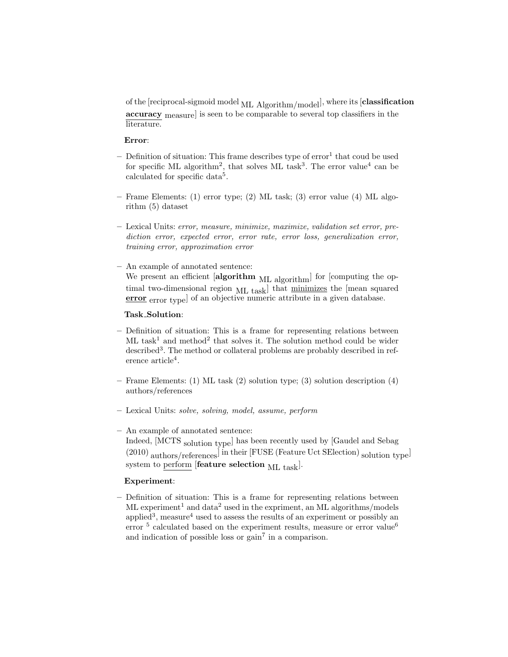of the [reciprocal-sigmoid model ML Algorithm/model], where its [classification accuracy measure] is seen to be comparable to several top classifiers in the literature.

#### Error:

- $-$  Definition of situation: This frame describes type of  $error<sup>1</sup>$  that coud be used for specific ML algorithm<sup>2</sup>, that solves ML task<sup>3</sup>. The error value<sup>4</sup> can be calculated for specific data<sup>5</sup>.
- Frame Elements: (1) error type; (2) ML task; (3) error value (4) ML algorithm (5) dataset
- Lexical Units: error, measure, minimize, maximize, validation set error, prediction error, expected error, error rate, error loss, generalization error, training error, approximation error
- An example of annotated sentence: We present an efficient  $[algorithm_{ML\ algorithm}]$  for [computing the optimal two-dimensional region ML task<sup>d</sup> that minimizes the [mean squared error error type] of an objective numeric attribute in a given database.

# Task Solution:

- Definition of situation: This is a frame for representing relations between  $ML$  task<sup>1</sup> and method<sup>2</sup> that solves it. The solution method could be wider described<sup>3</sup>. The method or collateral problems are probably described in reference article<sup>4</sup>.
- Frame Elements: (1) ML task (2) solution type; (3) solution description (4) authors/references
- Lexical Units: solve, solving, model, assume, perform
- An example of annotated sentence: Indeed, [MCTS solution type] has been recently used by [Gaudel and Sebag (2010) authors/references] in their [FUSE (Feature Uct SElection) solution type] system to perform [feature selection  $ML$  task].

#### Experiment:

– Definition of situation: This is a frame for representing relations between  $ML$  experiment<sup>1</sup> and data<sup>2</sup> used in the expriment, an ML algorithms/models applied<sup>3</sup>, measure<sup>4</sup> used to assess the results of an experiment or possibly an error  $5$  calculated based on the experiment results, measure or error value<sup>6</sup> and indication of possible loss or  $gain<sup>7</sup>$  in a comparison.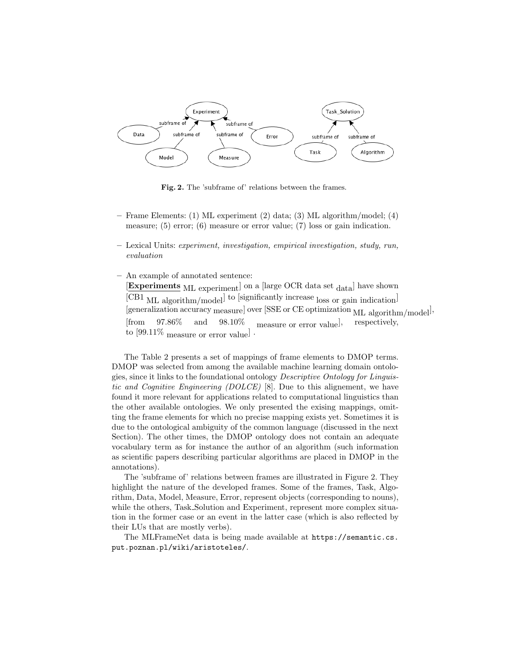

Fig. 2. The 'subframe of' relations between the frames.

- Frame Elements: (1) ML experiment (2) data; (3) ML algorithm/model; (4) measure; (5) error; (6) measure or error value; (7) loss or gain indication.
- Lexical Units: experiment, investigation, empirical investigation, study, run, evaluation
- An example of annotated sentence:

 $[Experiments ML experiment]$  on a [large OCR data set  $_{data}$ ] have shown [CB1 ML algorithm/model] to [significantly increase loss or gain indication] [generalization accuracy measure] over [SSE or CE optimization ML algorithm/model<sup>]</sup>, [from 97.86% and 98.10% measure or error value], respectively, to [99.11% measure or error value] .

The Table 2 presents a set of mappings of frame elements to DMOP terms. DMOP was selected from among the available machine learning domain ontologies, since it links to the foundational ontology Descriptive Ontology for Linguistic and Cognitive Engineering (DOLCE) [8]. Due to this alignement, we have found it more relevant for applications related to computational linguistics than the other available ontologies. We only presented the exising mappings, omitting the frame elements for which no precise mapping exists yet. Sometimes it is due to the ontological ambiguity of the common language (discussed in the next Section). The other times, the DMOP ontology does not contain an adequate vocabulary term as for instance the author of an algorithm (such information as scientific papers describing particular algorithms are placed in DMOP in the annotations).

The 'subframe of' relations between frames are illustrated in Figure 2. They highlight the nature of the developed frames. Some of the frames, Task, Algorithm, Data, Model, Measure, Error, represent objects (corresponding to nouns), while the others, Task Solution and Experiment, represent more complex situation in the former case or an event in the latter case (which is also reflected by their LUs that are mostly verbs).

The MLFrameNet data is being made available at https://semantic.cs. put.poznan.pl/wiki/aristoteles/.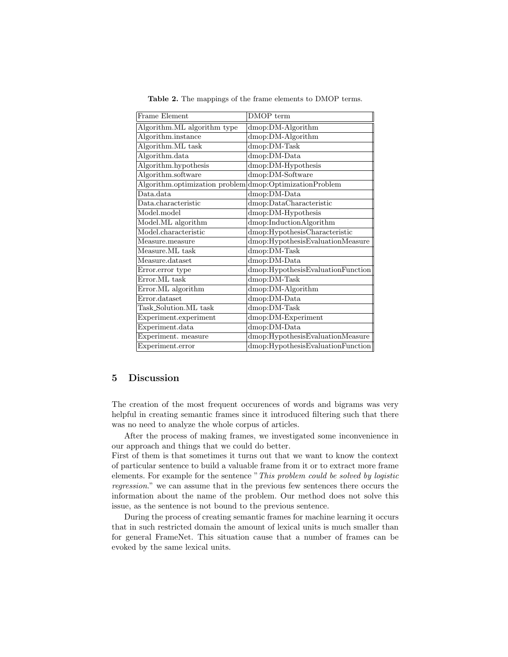| Frame Element                  | DMOP term                         |  |
|--------------------------------|-----------------------------------|--|
| Algorithm.ML algorithm type    | dmop:DM-Algorithm                 |  |
| Algorithm.instance             | dmop:DM-Algorithm                 |  |
| Algorithm.ML task              | dmop:DM-Task                      |  |
| Algorithm.data                 | dmop:DM-Data                      |  |
| Algorithm.hypothesis           | dmop:DM-Hypothesis                |  |
| Algorithm.software             | dmop:DM-Software                  |  |
| Algorithm.optimization problem | $ d$ mop:OptimizationProblem      |  |
| Data.data                      | dmop:DM-Data                      |  |
| Data.characteristic            | dmop:DataCharacteristic           |  |
| Model.model                    | dmop:DM-Hypothesis                |  |
| Model.ML algorithm             | dmop:InductionAlgorithm           |  |
| Model.characteristic           | dmop:HypothesisCharacteristic     |  |
| Measure.measure                | dmop:HypothesisEvaluationMeasure  |  |
| Measure.ML task                | dmop:DM-Task                      |  |
| Measure.dataset                | dmop:DM-Data                      |  |
| Error.error type               | dmop:HypothesisEvaluationFunction |  |
| Error.ML task                  | dmop:DM-Task                      |  |
| Error.ML algorithm             | dmop:DM-Algorithm                 |  |
| Error.dataset                  | dmop:DM-Data                      |  |
| Task_Solution.ML task          | dmop:DM-Task                      |  |
| Experiment.experiment          | dmop:DM-Experiment                |  |
| Experiment.data                | dmop:DM-Data                      |  |
| Experiment. measure            | dmop:HypothesisEvaluationMeasure  |  |
| Experiment.error               | dmop:HypothesisEvaluationFunction |  |

Table 2. The mappings of the frame elements to DMOP terms.

# 5 Discussion

The creation of the most frequent occurences of words and bigrams was very helpful in creating semantic frames since it introduced filtering such that there was no need to analyze the whole corpus of articles.

After the process of making frames, we investigated some inconvenience in our approach and things that we could do better.

First of them is that sometimes it turns out that we want to know the context of particular sentence to build a valuable frame from it or to extract more frame elements. For example for the sentence "This problem could be solved by logistic regression." we can assume that in the previous few sentences there occurs the information about the name of the problem. Our method does not solve this issue, as the sentence is not bound to the previous sentence.

During the process of creating semantic frames for machine learning it occurs that in such restricted domain the amount of lexical units is much smaller than for general FrameNet. This situation cause that a number of frames can be evoked by the same lexical units.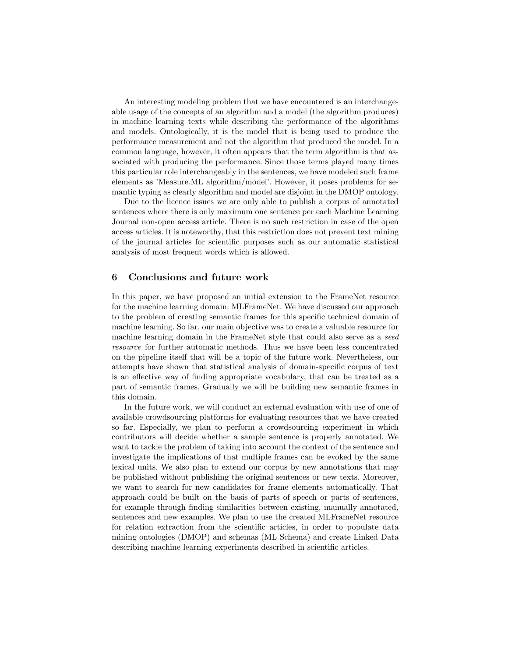An interesting modeling problem that we have encountered is an interchangeable usage of the concepts of an algorithm and a model (the algorithm produces) in machine learning texts while describing the performance of the algorithms and models. Ontologically, it is the model that is being used to produce the performance measurement and not the algorithm that produced the model. In a common language, however, it often appears that the term algorithm is that associated with producing the performance. Since those terms played many times this particular role interchangeably in the sentences, we have modeled such frame elements as 'Measure.ML algorithm/model'. However, it poses problems for semantic typing as clearly algorithm and model are disjoint in the DMOP ontology.

Due to the licence issues we are only able to publish a corpus of annotated sentences where there is only maximum one sentence per each Machine Learning Journal non-open access article. There is no such restriction in case of the open access articles. It is noteworthy, that this restriction does not prevent text mining of the journal articles for scientific purposes such as our automatic statistical analysis of most frequent words which is allowed.

### 6 Conclusions and future work

In this paper, we have proposed an initial extension to the FrameNet resource for the machine learning domain: MLFrameNet. We have discussed our approach to the problem of creating semantic frames for this specific technical domain of machine learning. So far, our main objective was to create a valuable resource for machine learning domain in the FrameNet style that could also serve as a seed resource for further automatic methods. Thus we have been less concentrated on the pipeline itself that will be a topic of the future work. Nevertheless, our attempts have shown that statistical analysis of domain-specific corpus of text is an effective way of finding appropriate vocabulary, that can be treated as a part of semantic frames. Gradually we will be building new semantic frames in this domain.

In the future work, we will conduct an external evaluation with use of one of available crowdsourcing platforms for evaluating resources that we have created so far. Especially, we plan to perform a crowdsourcing experiment in which contributors will decide whether a sample sentence is properly annotated. We want to tackle the problem of taking into account the context of the sentence and investigate the implications of that multiple frames can be evoked by the same lexical units. We also plan to extend our corpus by new annotations that may be published without publishing the original sentences or new texts. Moreover, we want to search for new candidates for frame elements automatically. That approach could be built on the basis of parts of speech or parts of sentences, for example through finding similarities between existing, manually annotated, sentences and new examples. We plan to use the created MLFrameNet resource for relation extraction from the scientific articles, in order to populate data mining ontologies (DMOP) and schemas (ML Schema) and create Linked Data describing machine learning experiments described in scientific articles.